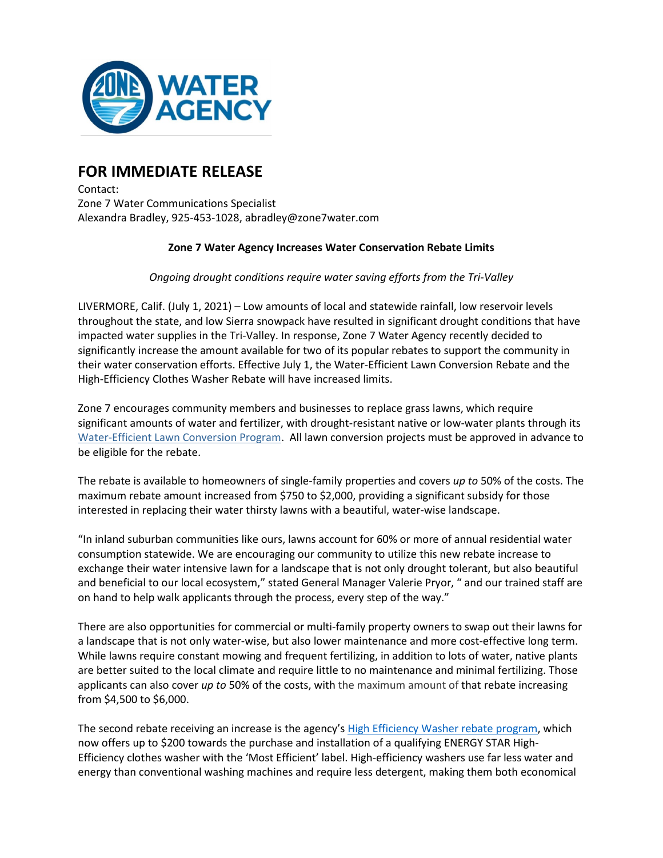

## **FOR IMMEDIATE RELEASE**

Contact: Zone 7 Water Communications Specialist Alexandra Bradley, 925-453-1028, abradley@zone7water.com

## **Zone 7 Water Agency Increases Water Conservation Rebate Limits**

*Ongoing drought conditions require water saving efforts from the Tri-Valley*

LIVERMORE, Calif. (July 1, 2021) – Low amounts of local and statewide rainfall, low reservoir levels throughout the state, and low Sierra snowpack have resulted in significant drought conditions that have impacted water supplies in the Tri-Valley. In response, Zone 7 Water Agency recently decided to significantly increase the amount available for two of its popular rebates to support the community in their water conservation efforts. Effective July 1, the Water-Efficient Lawn Conversion Rebate and the High-Efficiency Clothes Washer Rebate will have increased limits.

Zone 7 encourages community members and businesses to replace grass lawns, which require significant amounts of water and fertilizer, with drought-resistant native or low-water plants through its [Water-Efficient Lawn Conversion](https://www.zone7water.com/conservation-rebates/rebate-programs/water-efficient-lawn-conversions) Program. All lawn conversion projects must be approved in advance to be eligible for the rebate.

The rebate is available to homeowners of single-family properties and covers *up to* 50% of the costs. The maximum rebate amount increased from \$750 to \$2,000, providing a significant subsidy for those interested in replacing their water thirsty lawns with a beautiful, water-wise landscape.

"In inland suburban communities like ours, lawns account for 60% or more of annual residential water consumption statewide. We are encouraging our community to utilize this new rebate increase to exchange their water intensive lawn for a landscape that is not only drought tolerant, but also beautiful and beneficial to our local ecosystem," stated General Manager Valerie Pryor, " and our trained staff are on hand to help walk applicants through the process, every step of the way."

There are also opportunities for commercial or multi-family property owners to swap out their lawns for a landscape that is not only water-wise, but also lower maintenance and more cost-effective long term. While lawns require constant mowing and frequent fertilizing, in addition to lots of water, native plants are better suited to the local climate and require little to no maintenance and minimal fertilizing. Those applicants can also cover *up to* 50% of the costs, with the maximum amount of that rebate increasing from \$4,500 to \$6,000.

The second rebate receiving an increase is the agency's [High Efficiency Washer rebate program,](https://www.zone7water.com/post/rebate-high-efficiency-clothes-washer) which now offers up to \$200 towards the purchase and installation of a qualifying ENERGY STAR High-Efficiency clothes washer with the 'Most Efficient' label. High-efficiency washers use far less water and energy than conventional washing machines and require less detergent, making them both economical